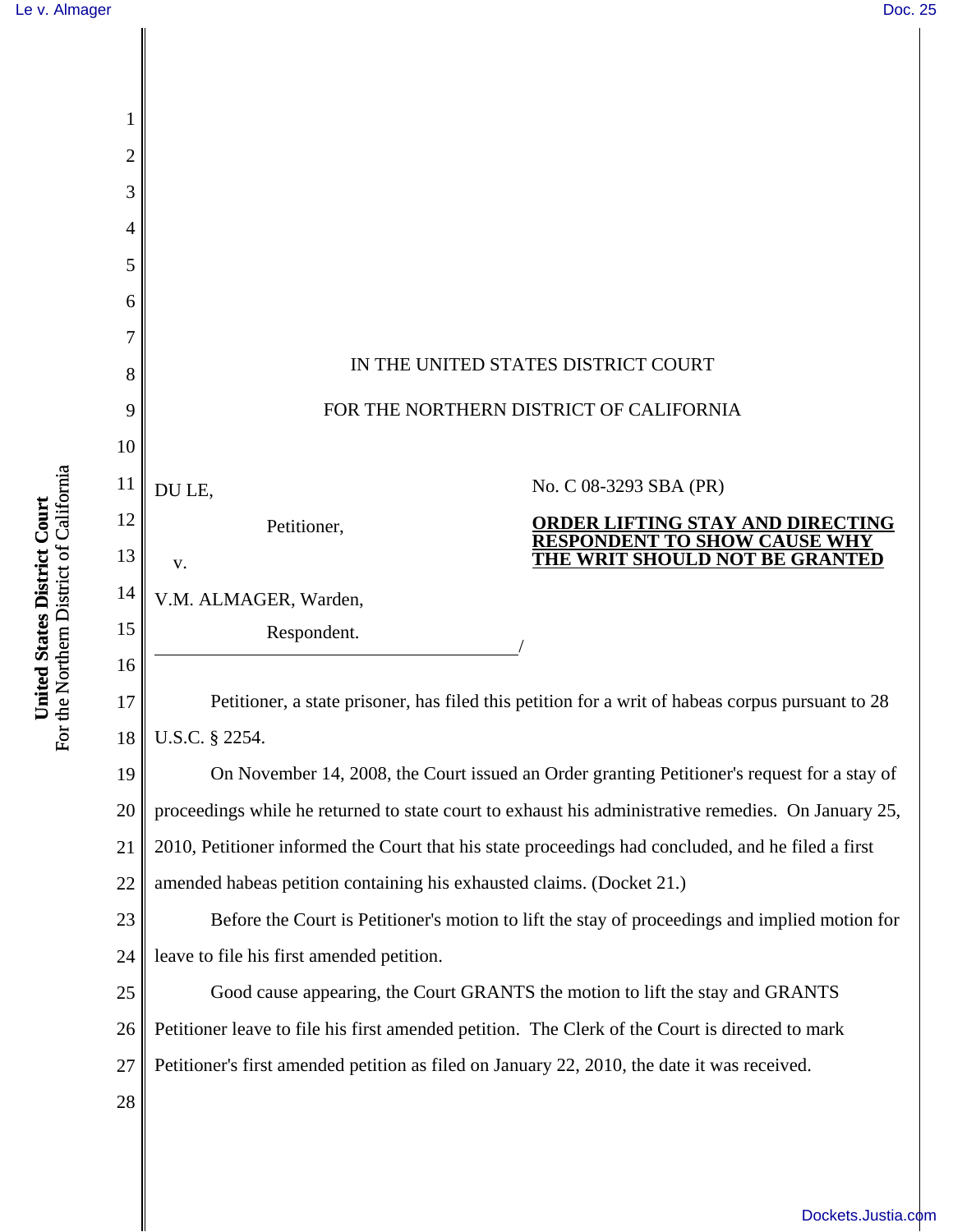

[Dockets.Justia.com](http://dockets.justia.com/)